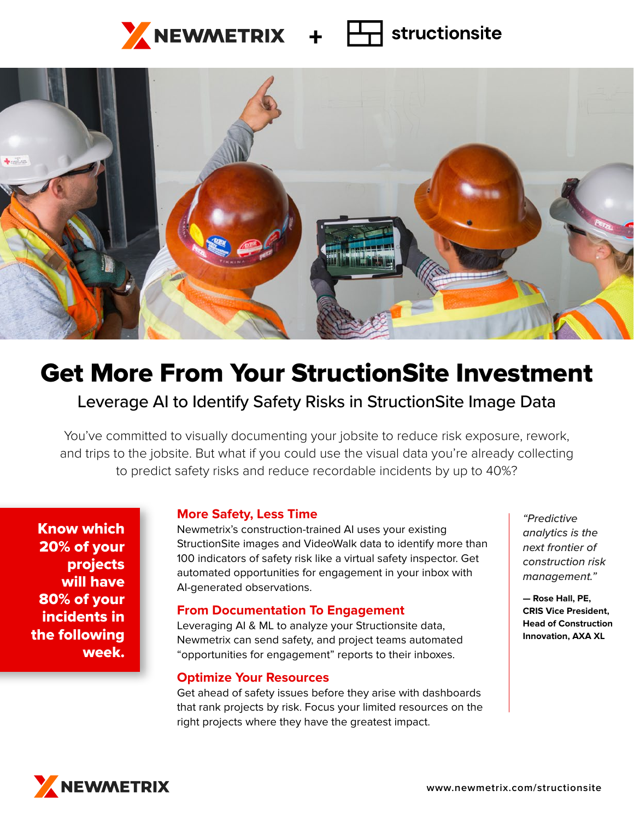## $\frac{1}{2}$ NEWMETRIX +  $\Box$ structionsite



# Get More From Your StructionSite Investment

## Leverage AI to Identify Safety Risks in StructionSite Image Data

You've committed to visually documenting your jobsite to reduce risk exposure, rework, and trips to the jobsite. But what if you could use the visual data you're already collecting to predict safety risks and reduce recordable incidents by up to 40%?

Know which 20% of your projects will have 80% of your incidents in the following week.

## **More Safety, Less Time**

Newmetrix's construction-trained AI uses your existing StructionSite images and VideoWalk data to identify more than 100 indicators of safety risk like a virtual safety inspector. Get automated opportunities for engagement in your inbox with AI-generated observations.

## **From Documentation To Engagement**

Leveraging AI & ML to analyze your Structionsite data, Newmetrix can send safety, and project teams automated "opportunities for engagement" reports to their inboxes.

#### **Optimize Your Resources**

Get ahead of safety issues before they arise with dashboards that rank projects by risk. Focus your limited resources on the right projects where they have the greatest impact.

*"Predictive analytics is the next frontier of construction risk management."* 

**— Rose Hall, PE, CRIS Vice President, Head of Construction Innovation, AXA XL**